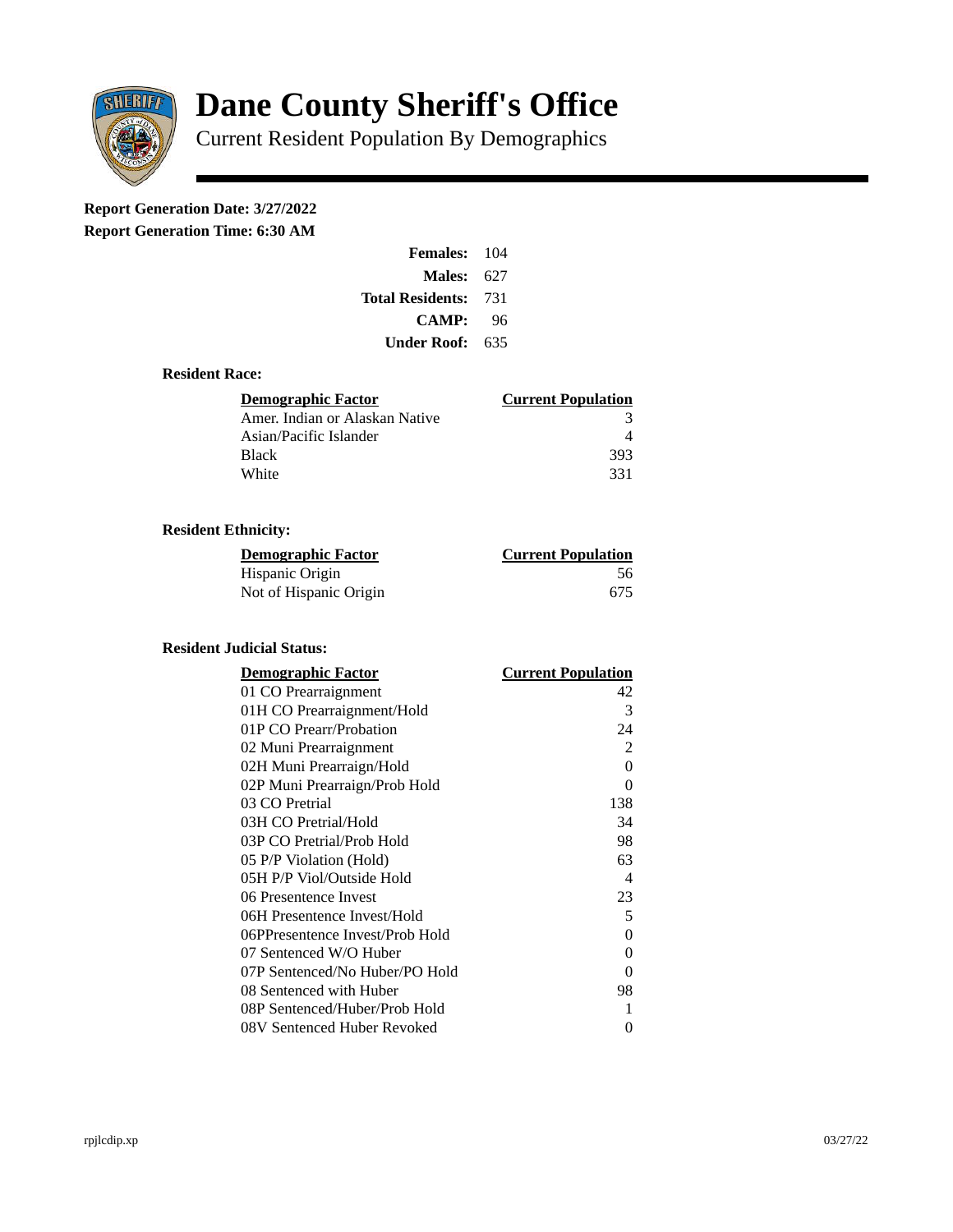

# **Dane County Sheriff's Office**

Current Resident Population By Demographics

# **Report Generation Date: 3/27/2022**

**Report Generation Time: 6:30 AM** 

| <b>Females: 104</b>     |       |
|-------------------------|-------|
| Males:                  | 627   |
| <b>Total Residents:</b> | - 731 |
| <b>CAMP:</b>            | 96    |
| Under Roof: -           | 635   |

#### **Resident Race:**

| Demographic Factor             | <b>Current Population</b> |
|--------------------------------|---------------------------|
| Amer. Indian or Alaskan Native |                           |
| Asian/Pacific Islander         |                           |
| <b>Black</b>                   | 393                       |
| White                          | 331                       |

# **Resident Ethnicity:**

| <u>Demographic Factor</u> | <b>Current Population</b> |
|---------------------------|---------------------------|
| Hispanic Origin           | 56                        |
| Not of Hispanic Origin    | 675                       |

## **Resident Judicial Status:**

| <b>Demographic Factor</b>       | <b>Current Population</b> |
|---------------------------------|---------------------------|
| 01 CO Prearraignment            | 42                        |
| 01H CO Prearraignment/Hold      | 3                         |
| 01P CO Prearr/Probation         | 24                        |
| 02 Muni Prearraignment          | $\overline{2}$            |
| 02H Muni Prearraign/Hold        | 0                         |
| 02P Muni Prearraign/Prob Hold   | 0                         |
| 03 CO Pretrial                  | 138                       |
| 03H CO Pretrial/Hold            | 34                        |
| 03P CO Pretrial/Prob Hold       | 98                        |
| 05 P/P Violation (Hold)         | 63                        |
| 05H P/P Viol/Outside Hold       | $\overline{\mathcal{A}}$  |
| 06 Presentence Invest           | 23                        |
| 06H Presentence Invest/Hold     | 5                         |
| 06PPresentence Invest/Prob Hold | 0                         |
| 07 Sentenced W/O Huber          | 0                         |
| 07P Sentenced/No Huber/PO Hold  | 0                         |
| 08 Sentenced with Huber         | 98                        |
| 08P Sentenced/Huber/Prob Hold   | 1                         |
| 08V Sentenced Huber Revoked     | 0                         |